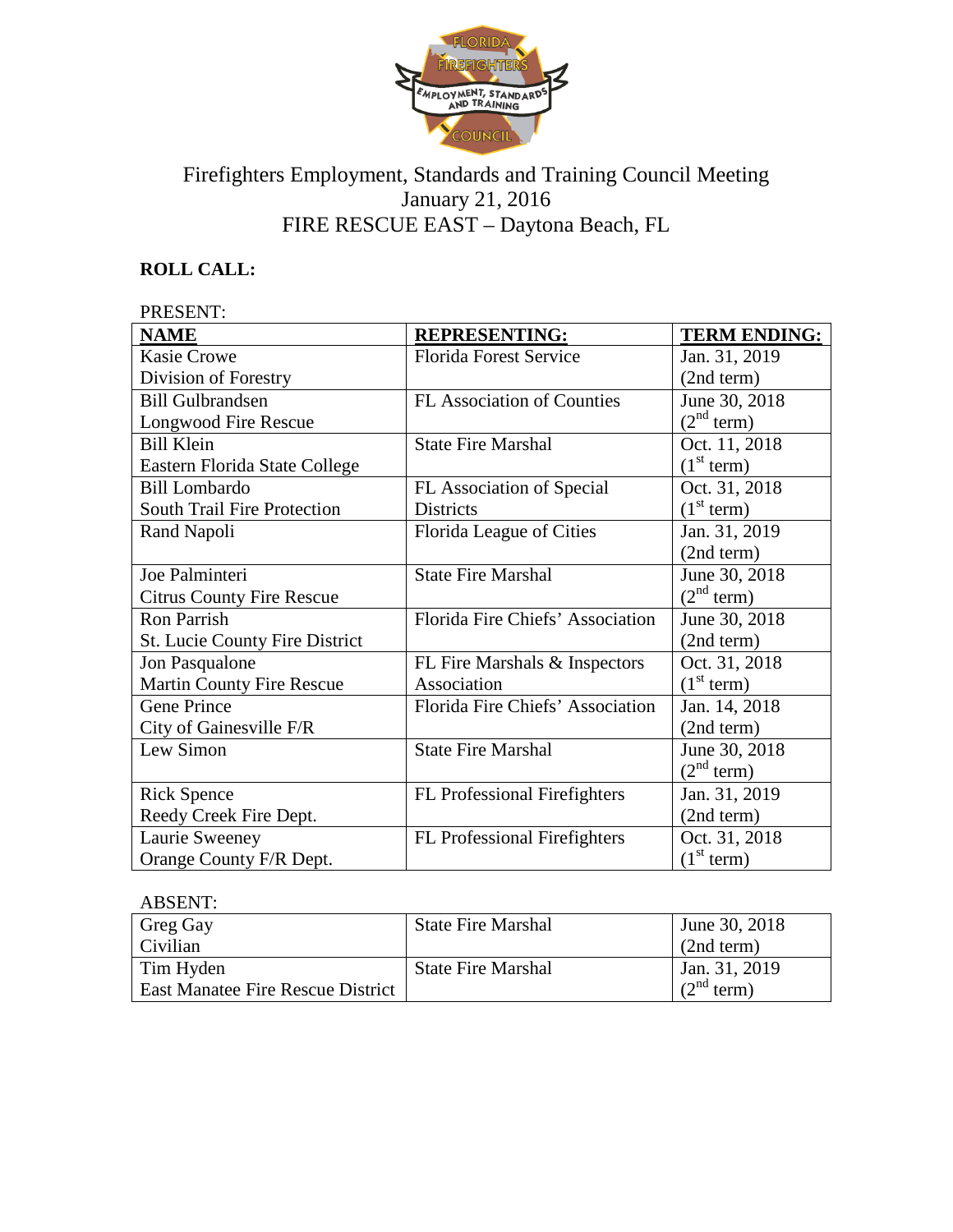

# Firefighters Employment, Standards and Training Council Meeting January 21, 2016 FIRE RESCUE EAST – Daytona Beach, FL

# **ROLL CALL:**

| <b>PRESENT:</b>                       |                                  |                        |  |
|---------------------------------------|----------------------------------|------------------------|--|
| <b>NAME</b>                           | <b>REPRESENTING:</b>             | <b>TERM ENDING:</b>    |  |
| <b>Kasie Crowe</b>                    | <b>Florida Forest Service</b>    | Jan. 31, 2019          |  |
| Division of Forestry                  |                                  | (2nd term)             |  |
| <b>Bill Gulbrandsen</b>               | FL Association of Counties       | June 30, 2018          |  |
| <b>Longwood Fire Rescue</b>           |                                  | (2 <sup>nd</sup> term) |  |
| <b>Bill Klein</b>                     | <b>State Fire Marshal</b>        | Oct. 11, 2018          |  |
| Eastern Florida State College         |                                  | (1 <sup>st</sup> term) |  |
| <b>Bill Lombardo</b>                  | FL Association of Special        | Oct. 31, 2018          |  |
| <b>South Trail Fire Protection</b>    | <b>Districts</b>                 | (1 <sup>st</sup> term) |  |
| Rand Napoli                           | Florida League of Cities         | Jan. 31, 2019          |  |
|                                       |                                  | (2nd term)             |  |
| Joe Palminteri                        | <b>State Fire Marshal</b>        | June 30, 2018          |  |
| <b>Citrus County Fire Rescue</b>      |                                  | (2 <sup>nd</sup> term) |  |
| Ron Parrish                           | Florida Fire Chiefs' Association | June 30, 2018          |  |
| <b>St. Lucie County Fire District</b> |                                  | (2nd term)             |  |
| Jon Pasqualone                        | FL Fire Marshals & Inspectors    | Oct. 31, 2018          |  |
| <b>Martin County Fire Rescue</b>      | Association                      | (1 <sup>st</sup> term) |  |
| <b>Gene Prince</b>                    | Florida Fire Chiefs' Association | Jan. 14, 2018          |  |
| City of Gainesville F/R               |                                  | (2nd term)             |  |
| Lew Simon                             | <b>State Fire Marshal</b>        | June 30, 2018          |  |
|                                       |                                  | (2 <sup>nd</sup> term) |  |
| <b>Rick Spence</b>                    | FL Professional Firefighters     | Jan. 31, 2019          |  |
| Reedy Creek Fire Dept.                |                                  | (2nd term)             |  |
| Laurie Sweeney                        | FL Professional Firefighters     | Oct. 31, 2018          |  |
| Orange County F/R Dept.               |                                  | (1 <sup>st</sup> term) |  |

| <b>ABSENT:</b>                           |                           |                           |
|------------------------------------------|---------------------------|---------------------------|
| Greg Gay                                 | <b>State Fire Marshal</b> | June 30, 2018             |
| Civilian                                 |                           | (2nd term)                |
| Tim Hyden                                | <b>State Fire Marshal</b> | Jan. 31, 2019             |
| <b>East Manatee Fire Rescue District</b> |                           | $\gamma^{\text{nd}}$ term |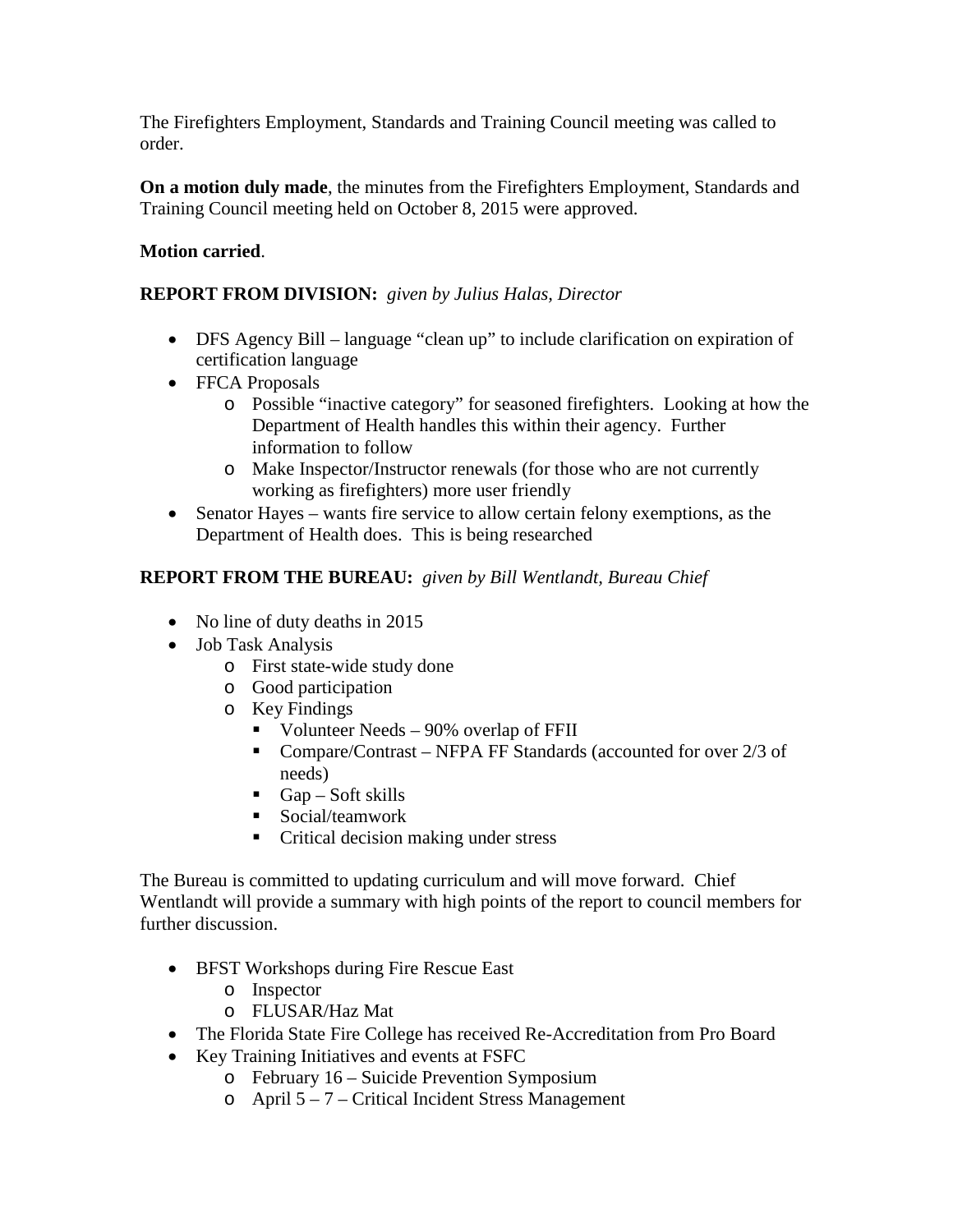The Firefighters Employment, Standards and Training Council meeting was called to order.

**On a motion duly made**, the minutes from the Firefighters Employment, Standards and Training Council meeting held on October 8, 2015 were approved.

# **Motion carried**.

### **REPORT FROM DIVISION:** *given by Julius Halas, Director*

- DFS Agency Bill language "clean up" to include clarification on expiration of certification language
- FFCA Proposals
	- o Possible "inactive category" for seasoned firefighters. Looking at how the Department of Health handles this within their agency. Further information to follow
	- o Make Inspector/Instructor renewals (for those who are not currently working as firefighters) more user friendly
- Senator Hayes wants fire service to allow certain felony exemptions, as the Department of Health does. This is being researched

# **REPORT FROM THE BUREAU:** *given by Bill Wentlandt, Bureau Chief*

- No line of duty deaths in 2015
- Job Task Analysis
	- o First state-wide study done
	- o Good participation
	- o Key Findings
		- Volunteer Needs 90% overlap of FFII
		- Compare/Contrast NFPA FF Standards (accounted for over 2/3 of needs)
		- Gap Soft skills
		- Social/teamwork
		- Critical decision making under stress

The Bureau is committed to updating curriculum and will move forward. Chief Wentlandt will provide a summary with high points of the report to council members for further discussion.

- BFST Workshops during Fire Rescue East
	- o Inspector
	- o FLUSAR/Haz Mat
- The Florida State Fire College has received Re-Accreditation from Pro Board
- Key Training Initiatives and events at FSFC
	- o February 16 Suicide Prevention Symposium
	- $\circ$  April 5 7 Critical Incident Stress Management